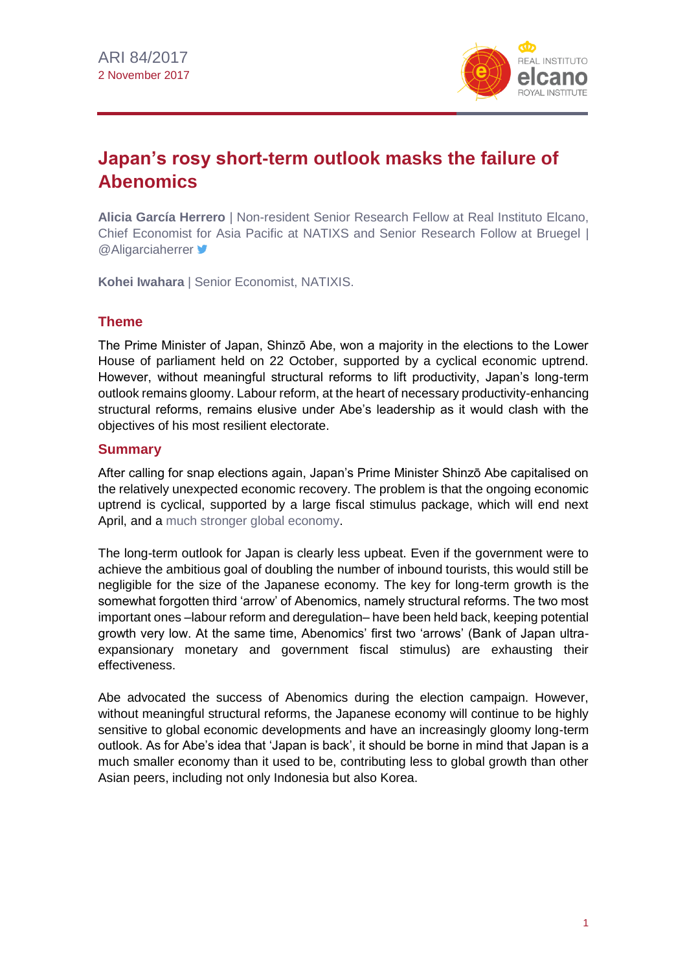

# **Japan's rosy short-term outlook masks the failure of Abenomics**

**Alicia García Herrero** | Non-resident Senior Research Fellow at Real Instituto Elcano, Chief Economist for Asia Pacific at NATIXS and Senior Research Follow at Bruegel | **@Aligarciaherrer** 

**Kohei Iwahara** | Senior Economist, NATIXIS.

# **Theme**

The Prime Minister of Japan, Shinzō Abe, won a majority in the elections to the Lower House of parliament held on 22 October, supported by a cyclical economic uptrend. However, without meaningful structural reforms to lift productivity, Japan's long-term outlook remains gloomy. Labour reform, at the heart of necessary productivity-enhancing structural reforms, remains elusive under Abe's leadership as it would clash with the objectives of his most resilient electorate.

# **Summary**

After calling for snap elections again, Japan's Prime Minister Shinzō Abe capitalised on the relatively unexpected economic recovery. The problem is that the ongoing economic uptrend is cyclical, supported by a large fiscal stimulus package, which will end next April, and a [much stronger global economy.](http://www.realinstitutoelcano.org/wps/portal/rielcano_en/contenido?WCM_GLOBAL_CONTEXT=/elcano/elcano_in/zonas_in/commentary-steinberg-good-news-synchronised-global-economic-acceleration)

The long-term outlook for Japan is clearly less upbeat. Even if the government were to achieve the ambitious goal of doubling the number of inbound tourists, this would still be negligible for the size of the Japanese economy. The key for long-term growth is the somewhat forgotten third 'arrow' of Abenomics, namely structural reforms. The two most important ones –labour reform and deregulation– have been held back, keeping potential growth very low. At the same time, Abenomics' first two 'arrows' (Bank of Japan ultraexpansionary monetary and government fiscal stimulus) are exhausting their effectiveness.

Abe advocated the success of Abenomics during the election campaign. However, without meaningful structural reforms, the Japanese economy will continue to be highly sensitive to global economic developments and have an increasingly gloomy long-term outlook. As for Abe's idea that 'Japan is back', it should be borne in mind that Japan is a much smaller economy than it used to be, contributing less to global growth than other Asian peers, including not only Indonesia but also Korea.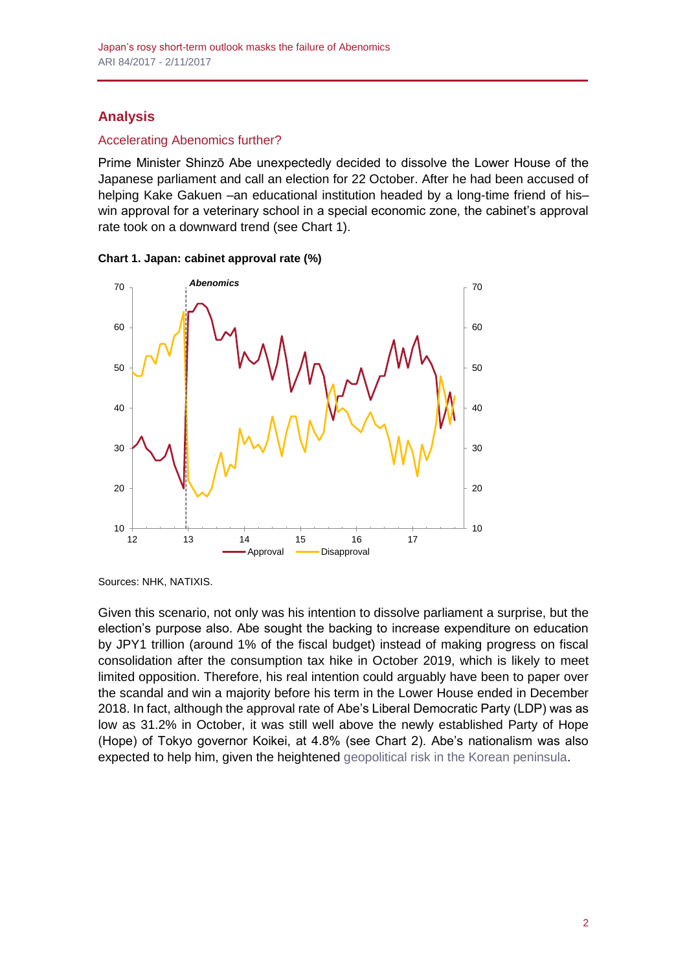# **Analysis**

# Accelerating Abenomics further?

Prime Minister Shinzō Abe unexpectedly decided to dissolve the Lower House of the Japanese parliament and call an election for 22 October. After he had been accused of helping Kake Gakuen –an educational institution headed by a long-time friend of his– win approval for a veterinary school in a special economic zone, the cabinet's approval rate took on a downward trend (see Chart 1).



**Chart 1. Japan: cabinet approval rate (%)**

Sources: NHK, NATIXIS.

Given this scenario, not only was his intention to dissolve parliament a surprise, but the election's purpose also. Abe sought the backing to increase expenditure on education by JPY1 trillion (around 1% of the fiscal budget) instead of making progress on fiscal consolidation after the consumption tax hike in October 2019, which is likely to meet limited opposition. Therefore, his real intention could arguably have been to paper over the scandal and win a majority before his term in the Lower House ended in December 2018. In fact, although the approval rate of Abe's Liberal Democratic Party (LDP) was as low as 31.2% in October, it was still well above the newly established Party of Hope (Hope) of Tokyo governor Koikei, at 4.8% (see Chart 2). Abe's nationalism was also expected to help him, given the heightened [geopolitical risk in the Korean peninsula.](http://www.realinstitutoelcano.org/wps/portal/rielcano_en/contenido?WCM_GLOBAL_CONTEXT=/elcano/elcano_in/zonas_in/ari52-2017-arteaga-esteban-how-can-military-conflict-korea-peninsula-avoided)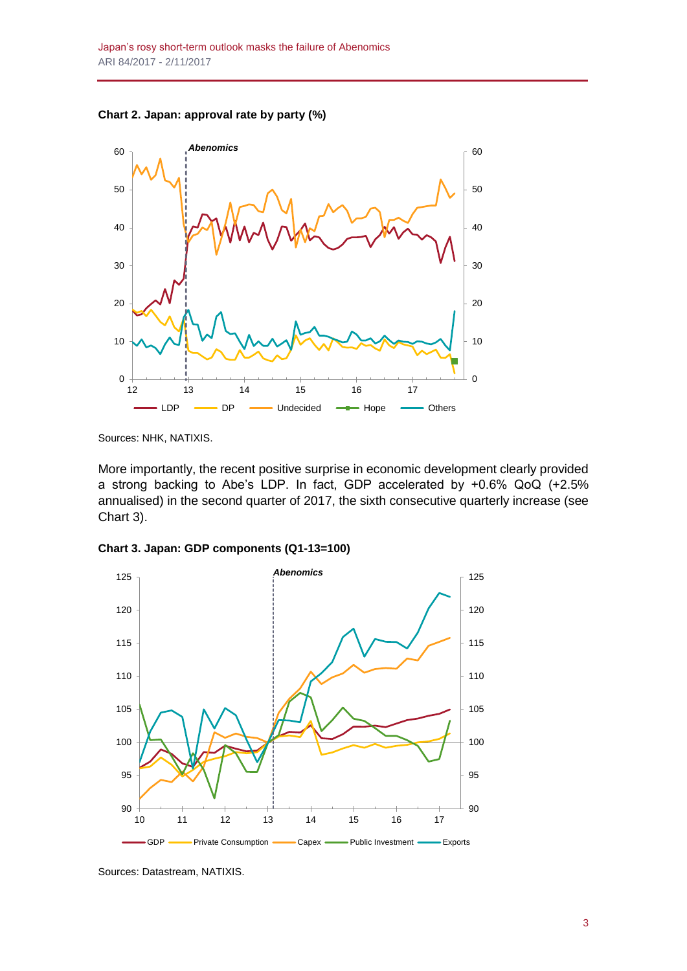**Chart 2. Japan: approval rate by party (%)**



Sources: NHK, NATIXIS.

More importantly, the recent positive surprise in economic development clearly provided a strong backing to Abe's LDP. In fact, GDP accelerated by +0.6% QoQ (+2.5% annualised) in the second quarter of 2017, the sixth consecutive quarterly increase (see Chart 3).





Sources: Datastream, NATIXIS.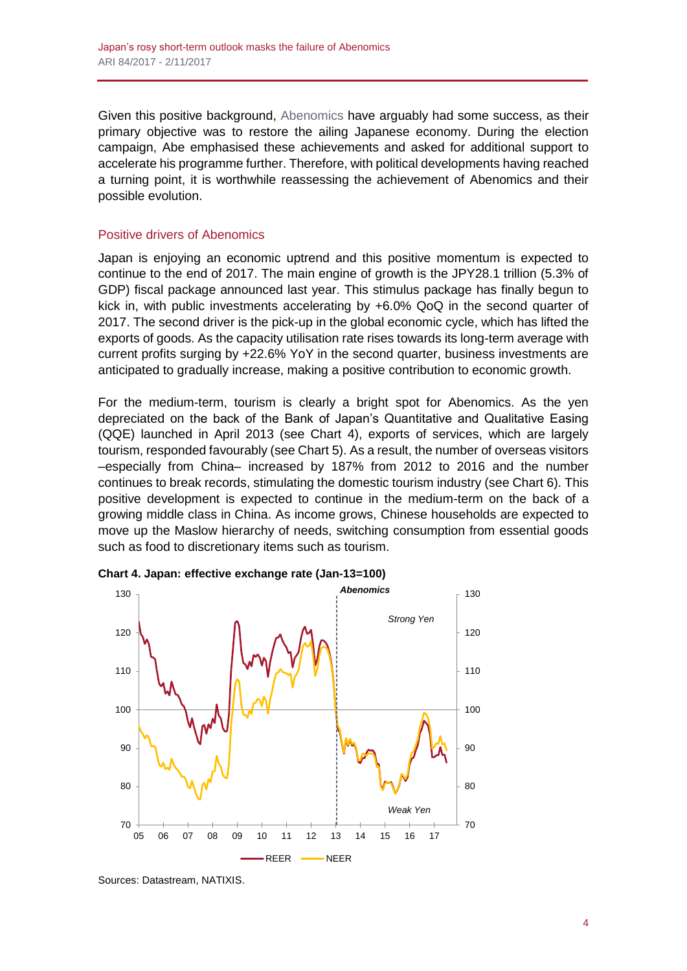Given this positive background, [Abenomics h](http://lexicon.ft.com/Term?term=Abenomics)ave arguably had some success, as their primary objective was to restore the ailing Japanese economy. During the election campaign, Abe emphasised these achievements and asked for additional support to accelerate his programme further. Therefore, with political developments having reached a turning point, it is worthwhile reassessing the achievement of Abenomics and their possible evolution.

# Positive drivers of Abenomics

Japan is enjoying an economic uptrend and this positive momentum is expected to continue to the end of 2017. The main engine of growth is the JPY28.1 trillion (5.3% of GDP) fiscal package announced last year. This stimulus package has finally begun to kick in, with public investments accelerating by +6.0% QoQ in the second quarter of 2017. The second driver is the pick-up in the global economic cycle, which has lifted the exports of goods. As the capacity utilisation rate rises towards its long-term average with current profits surging by +22.6% YoY in the second quarter, business investments are anticipated to gradually increase, making a positive contribution to economic growth.

For the medium-term, tourism is clearly a bright spot for Abenomics. As the yen depreciated on the back of the Bank of Japan's Quantitative and Qualitative Easing (QQE) launched in April 2013 (see Chart 4), exports of services, which are largely tourism, responded favourably (see Chart 5). As a result, the number of overseas visitors –especially from China– increased by 187% from 2012 to 2016 and the number continues to break records, stimulating the domestic tourism industry (see Chart 6). This positive development is expected to continue in the medium-term on the back of a growing middle class in China. As income grows, Chinese households are expected to move up the Maslow hierarchy of needs, switching consumption from essential goods such as food to discretionary items such as tourism.





Sources: Datastream, NATIXIS.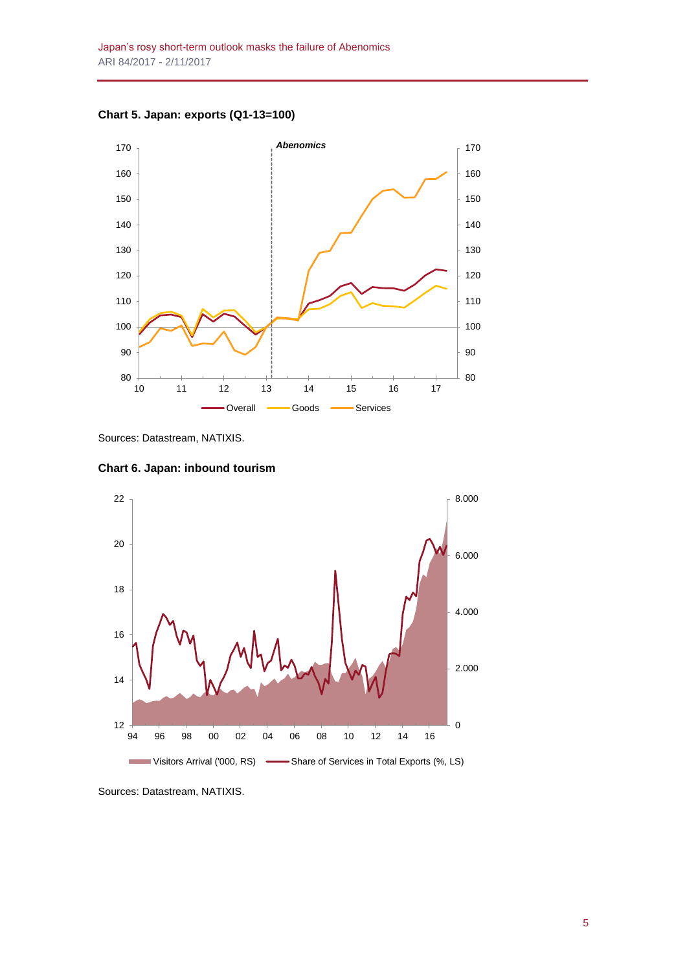

**Chart 5. Japan: exports (Q1-13=100)**

Sources: Datastream, NATIXIS.





Sources: Datastream, NATIXIS.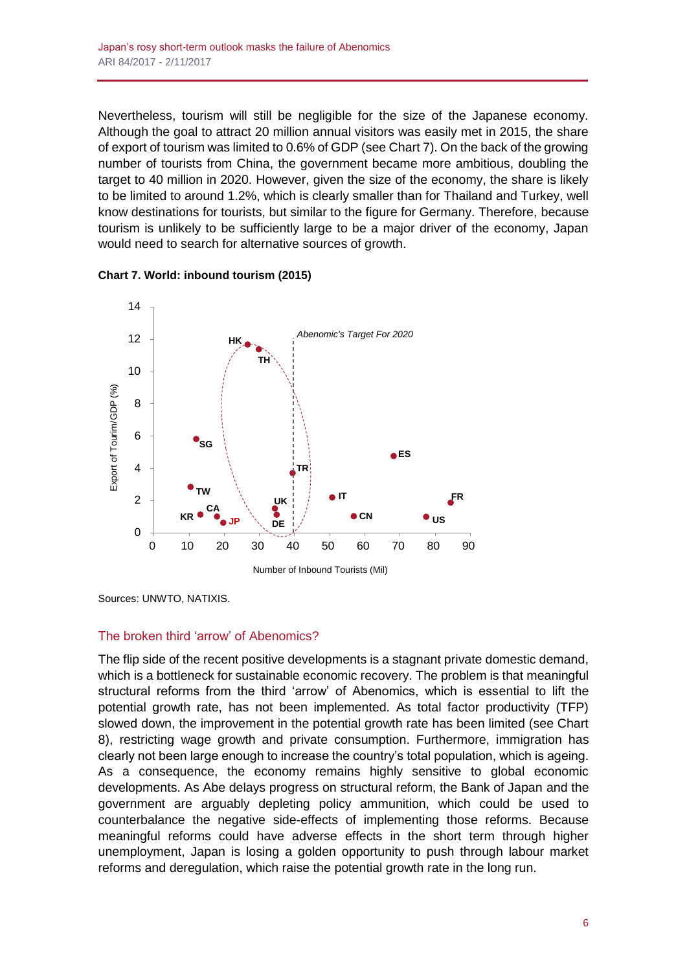Nevertheless, tourism will still be negligible for the size of the Japanese economy. Although the goal to attract 20 million annual visitors was easily met in 2015, the share of export of tourism was limited to 0.6% of GDP (see Chart 7). On the back of the growing number of tourists from China, the government became more ambitious, doubling the target to 40 million in 2020. However, given the size of the economy, the share is likely to be limited to around 1.2%, which is clearly smaller than for Thailand and Turkey, well know destinations for tourists, but similar to the figure for Germany. Therefore, because tourism is unlikely to be sufficiently large to be a major driver of the economy, Japan would need to search for alternative sources of growth.





Sources: UNWTO, NATIXIS.

#### The broken third 'arrow' of Abenomics?

The flip side of the recent positive developments is a stagnant private domestic demand, which is a bottleneck for sustainable economic recovery. The problem is that meaningful structural reforms from the third 'arrow' of Abenomics, which is essential to lift the potential growth rate, has not been implemented. As total factor productivity (TFP) slowed down, the improvement in the potential growth rate has been limited (see Chart 8), restricting wage growth and private consumption. Furthermore, immigration has clearly not been large enough to increase the country's total population, which is ageing. As a consequence, the economy remains highly sensitive to global economic developments. As Abe delays progress on structural reform, the Bank of Japan and the government are arguably depleting policy ammunition, which could be used to counterbalance the negative side-effects of implementing those reforms. Because meaningful reforms could have adverse effects in the short term through higher unemployment, Japan is losing a golden opportunity to push through labour market reforms and deregulation, which raise the potential growth rate in the long run.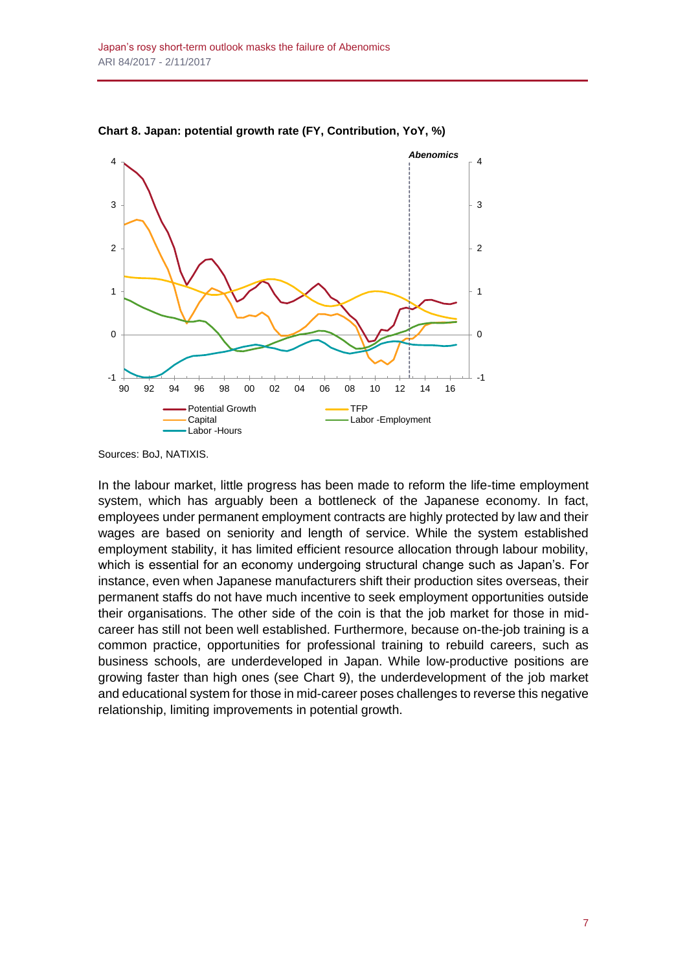

**Chart 8. Japan: potential growth rate (FY, Contribution, YoY, %)**

In the labour market, little progress has been made to reform the life-time employment system, which has arguably been a bottleneck of the Japanese economy. In fact, employees under permanent employment contracts are highly protected by law and their wages are based on seniority and length of service. While the system established employment stability, it has limited efficient resource allocation through labour mobility, which is essential for an economy undergoing structural change such as Japan's. For instance, even when Japanese manufacturers shift their production sites overseas, their permanent staffs do not have much incentive to seek employment opportunities outside their organisations. The other side of the coin is that the job market for those in midcareer has still not been well established. Furthermore, because on-the-job training is a common practice, opportunities for professional training to rebuild careers, such as business schools, are underdeveloped in Japan. While low-productive positions are growing faster than high ones (see Chart 9), the underdevelopment of the job market and educational system for those in mid-career poses challenges to reverse this negative relationship, limiting improvements in potential growth.

Sources: BoJ, NATIXIS.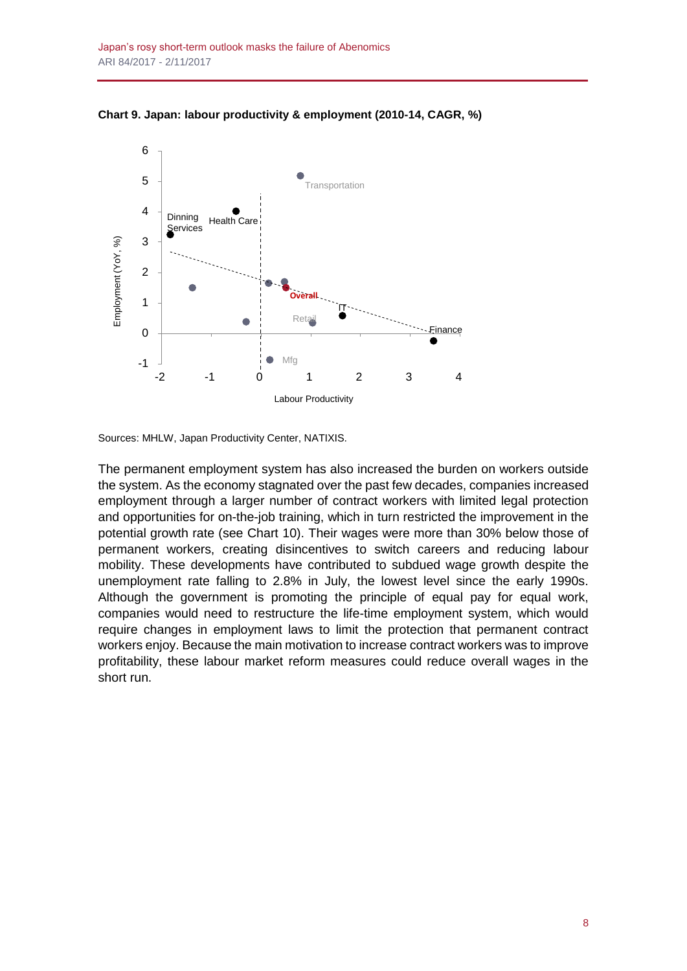

**Chart 9. Japan: labour productivity & employment (2010-14, CAGR, %)**

Sources: MHLW, Japan Productivity Center, NATIXIS.

The permanent employment system has also increased the burden on workers outside the system. As the economy stagnated over the past few decades, companies increased employment through a larger number of contract workers with limited legal protection and opportunities for on-the-job training, which in turn restricted the improvement in the potential growth rate (see Chart 10). Their wages were more than 30% below those of permanent workers, creating disincentives to switch careers and reducing labour mobility. These developments have contributed to subdued wage growth despite the unemployment rate falling to 2.8% in July, the lowest level since the early 1990s. Although the government is promoting the principle of equal pay for equal work, companies would need to restructure the life-time employment system, which would require changes in employment laws to limit the protection that permanent contract workers enjoy. Because the main motivation to increase contract workers was to improve profitability, these labour market reform measures could reduce overall wages in the short run.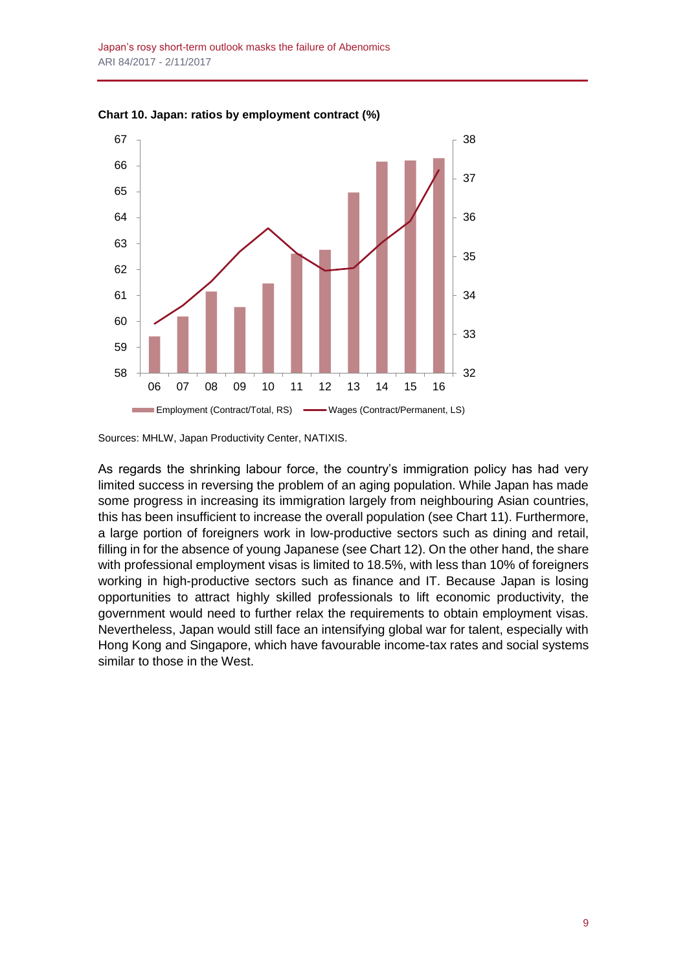

**Chart 10. Japan: ratios by employment contract (%)**

Sources: MHLW, Japan Productivity Center, NATIXIS.

As regards the shrinking labour force, the country's immigration policy has had very limited success in reversing the problem of an aging population. While Japan has made some progress in increasing its immigration largely from neighbouring Asian countries, this has been insufficient to increase the overall population (see Chart 11). Furthermore, a large portion of foreigners work in low-productive sectors such as dining and retail, filling in for the absence of young Japanese (see Chart 12). On the other hand, the share with professional employment visas is limited to 18.5%, with less than 10% of foreigners working in high-productive sectors such as finance and IT. Because Japan is losing opportunities to attract highly skilled professionals to lift economic productivity, the government would need to further relax the requirements to obtain employment visas. Nevertheless, Japan would still face an intensifying global war for talent, especially with Hong Kong and Singapore, which have favourable income-tax rates and social systems similar to those in the West.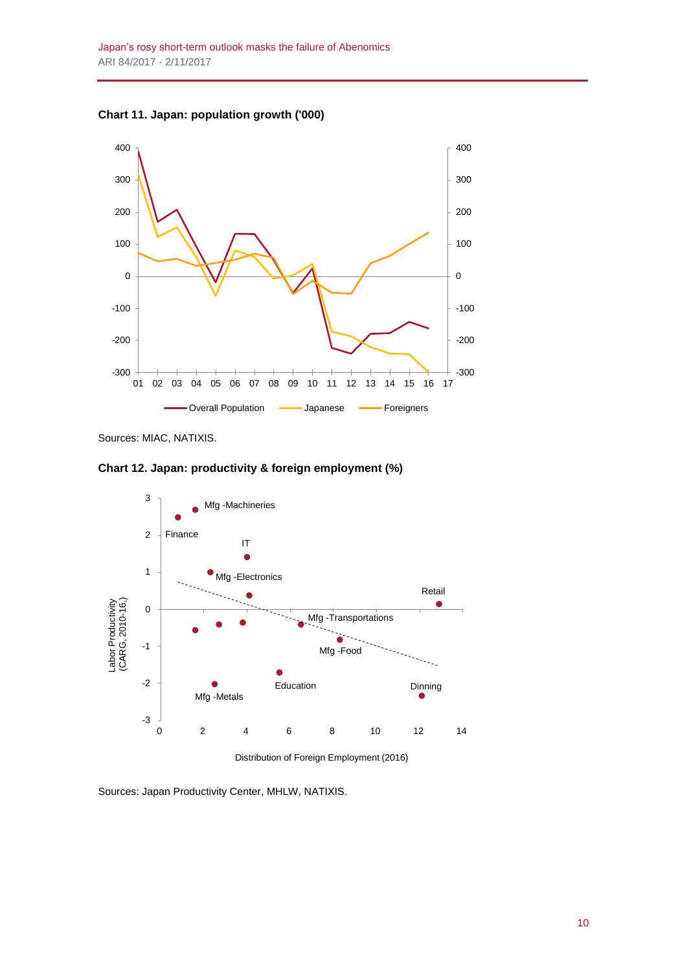**Chart 11. Japan: population growth ('000)**



Sources: MIAC, NATIXIS.

**Chart 12. Japan: productivity & foreign employment (%)**



Distribution of Foreign Employment (2016)

Sources: Japan Productivity Center, MHLW, NATIXIS.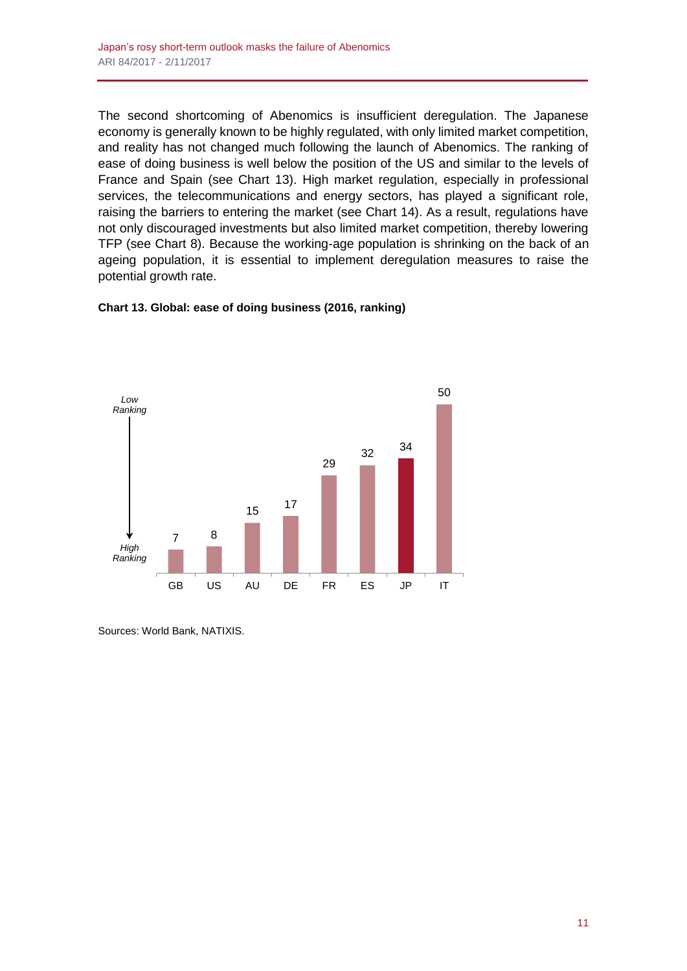The second shortcoming of Abenomics is insufficient deregulation. The Japanese economy is generally known to be highly regulated, with only limited market competition, and reality has not changed much following the launch of Abenomics. The ranking of ease of doing business is well below the position of the US and similar to the levels of France and Spain (see Chart 13). High market regulation, especially in professional services, the telecommunications and energy sectors, has played a significant role, raising the barriers to entering the market (see Chart 14). As a result, regulations have not only discouraged investments but also limited market competition, thereby lowering TFP (see Chart 8). Because the working-age population is shrinking on the back of an ageing population, it is essential to implement deregulation measures to raise the potential growth rate.





Sources: World Bank, NATIXIS.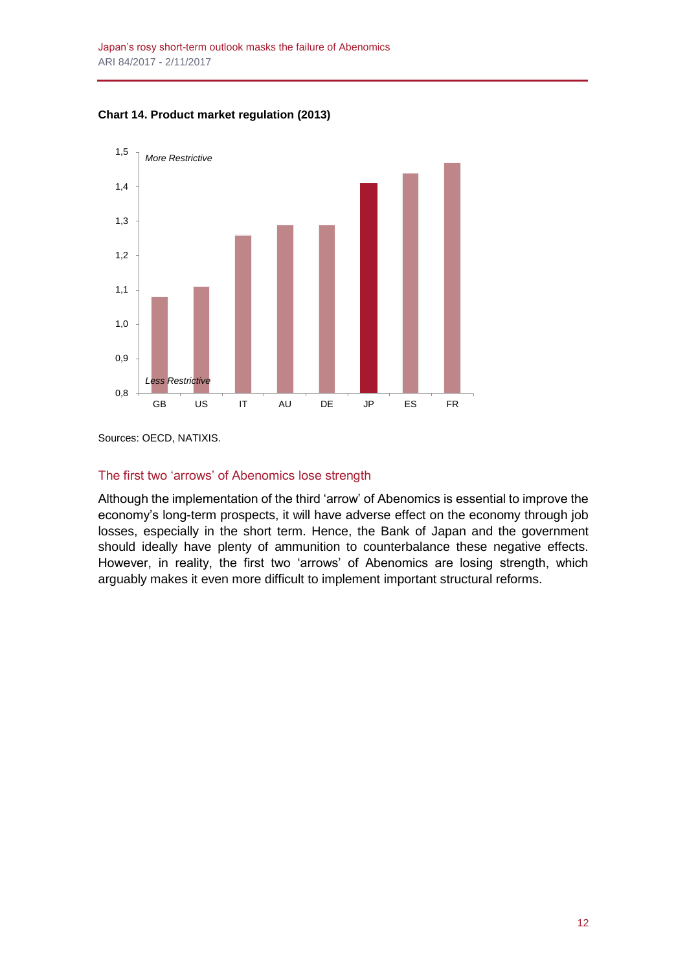



Sources: OECD, NATIXIS.

# The first two 'arrows' of Abenomics lose strength

Although the implementation of the third 'arrow' of Abenomics is essential to improve the economy's long-term prospects, it will have adverse effect on the economy through job losses, especially in the short term. Hence, the Bank of Japan and the government should ideally have plenty of ammunition to counterbalance these negative effects. However, in reality, the first two 'arrows' of Abenomics are losing strength, which arguably makes it even more difficult to implement important structural reforms.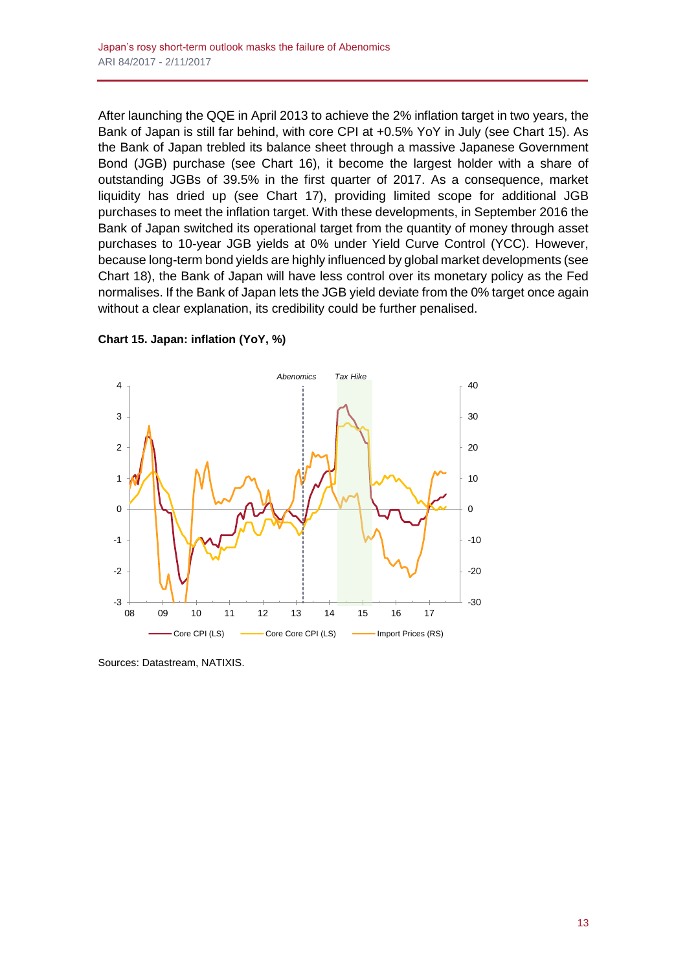After launching the QQE in April 2013 to achieve the 2% inflation target in two years, the Bank of Japan is still far behind, with core CPI at +0.5% YoY in July (see Chart 15). As the Bank of Japan trebled its balance sheet through a massive Japanese Government Bond (JGB) purchase (see Chart 16), it become the largest holder with a share of outstanding JGBs of 39.5% in the first quarter of 2017. As a consequence, market liquidity has dried up (see Chart 17), providing limited scope for additional JGB purchases to meet the inflation target. With these developments, in September 2016 the Bank of Japan switched its operational target from the quantity of money through asset purchases to 10-year JGB yields at 0% under Yield Curve Control (YCC). However, because long-term bond yields are highly influenced by global market developments (see Chart 18), the Bank of Japan will have less control over its monetary policy as the Fed normalises. If the Bank of Japan lets the JGB yield deviate from the 0% target once again without a clear explanation, its credibility could be further penalised.



**Chart 15. Japan: inflation (YoY, %)**

Sources: Datastream, NATIXIS.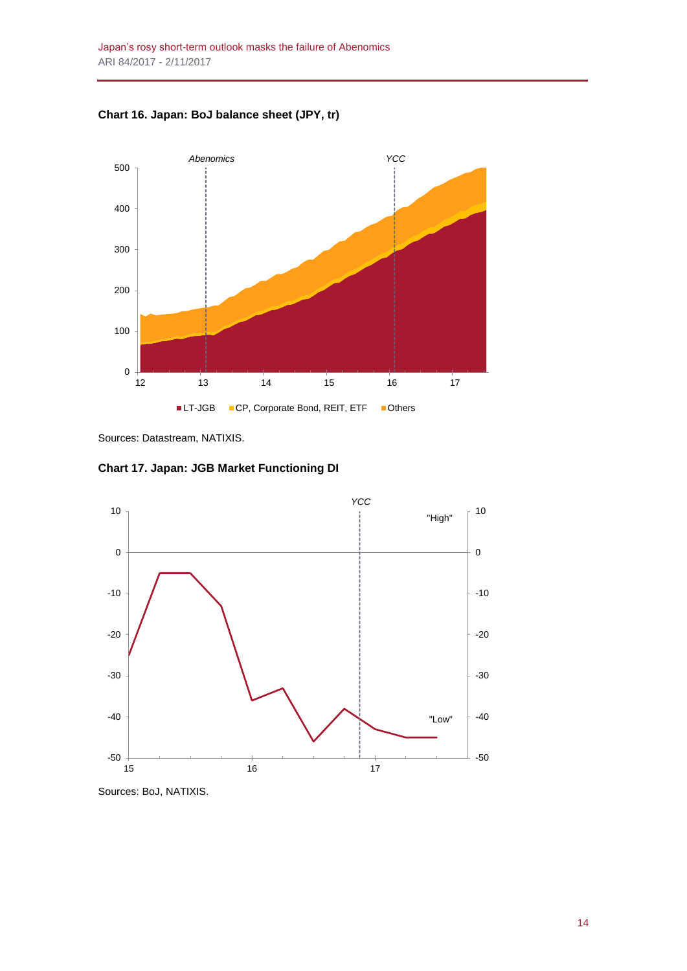**Chart 16. Japan: BoJ balance sheet (JPY, tr)**



Sources: Datastream, NATIXIS.

**Chart 17. Japan: JGB Market Functioning DI**



Sources: BoJ, NATIXIS.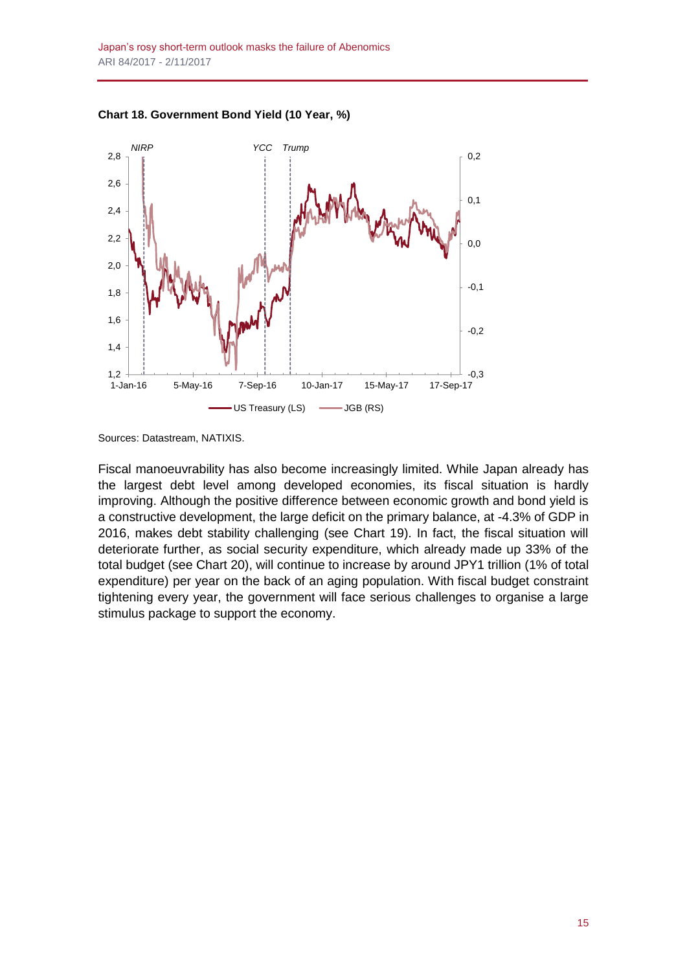

**Chart 18. Government Bond Yield (10 Year, %)**

Sources: Datastream, NATIXIS.

Fiscal manoeuvrability has also become increasingly limited. While Japan already has the largest debt level among developed economies, its fiscal situation is hardly improving. Although the positive difference between economic growth and bond yield is a constructive development, the large deficit on the primary balance, at -4.3% of GDP in 2016, makes debt stability challenging (see Chart 19). In fact, the fiscal situation will deteriorate further, as social security expenditure, which already made up 33% of the total budget (see Chart 20), will continue to increase by around JPY1 trillion (1% of total expenditure) per year on the back of an aging population. With fiscal budget constraint tightening every year, the government will face serious challenges to organise a large stimulus package to support the economy.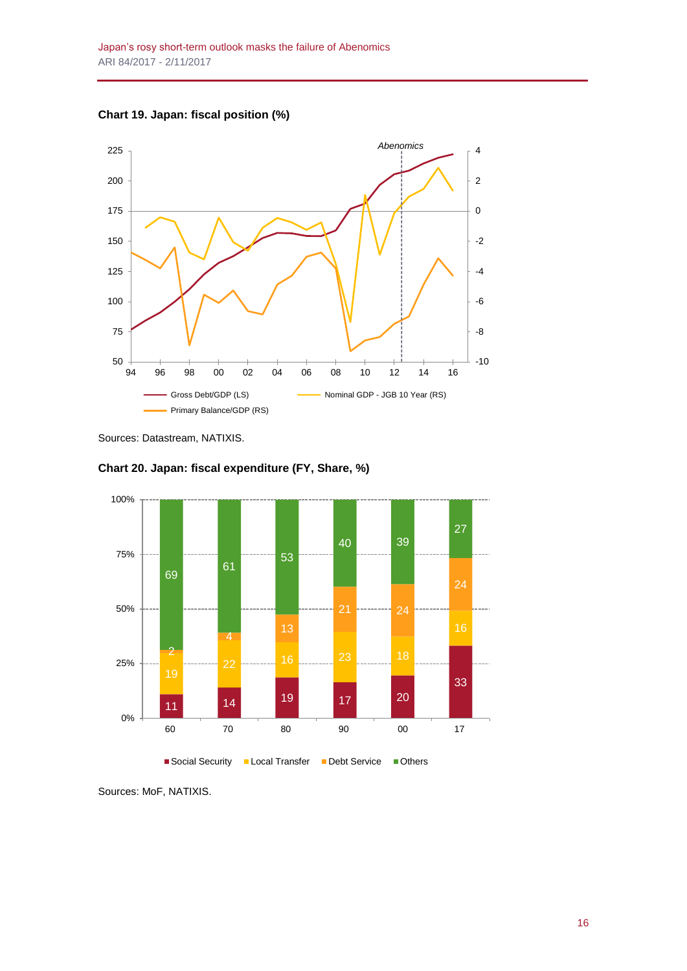



Sources: Datastream, NATIXIS.





Sources: MoF, NATIXIS.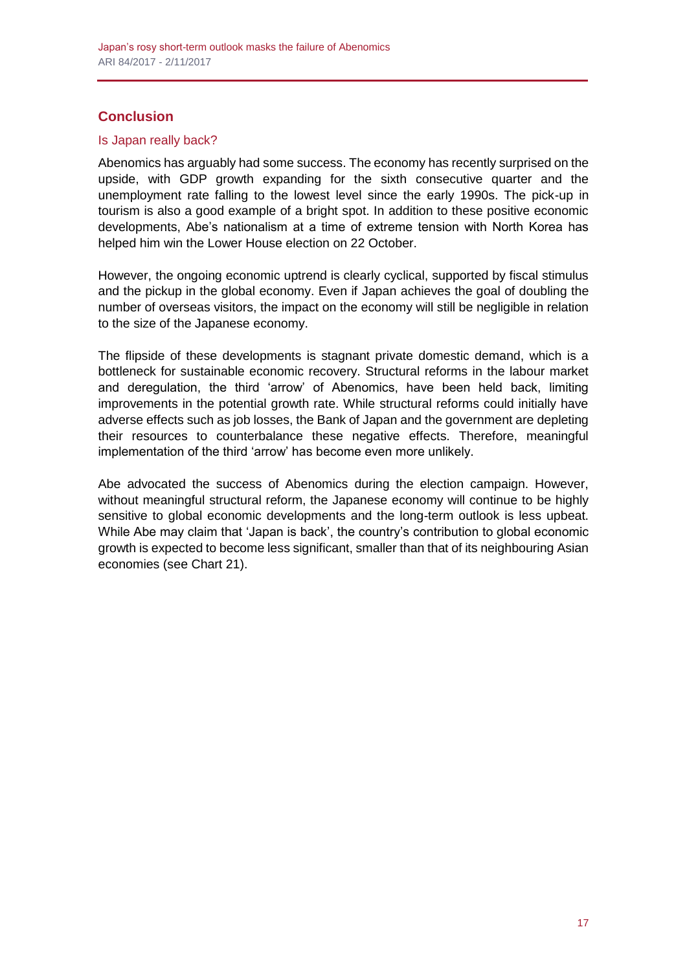# **Conclusion**

# Is Japan really back?

Abenomics has arguably had some success. The economy has recently surprised on the upside, with GDP growth expanding for the sixth consecutive quarter and the unemployment rate falling to the lowest level since the early 1990s. The pick-up in tourism is also a good example of a bright spot. In addition to these positive economic developments, Abe's nationalism at a time of extreme tension with North Korea has helped him win the Lower House election on 22 October.

However, the ongoing economic uptrend is clearly cyclical, supported by fiscal stimulus and the pickup in the global economy. Even if Japan achieves the goal of doubling the number of overseas visitors, the impact on the economy will still be negligible in relation to the size of the Japanese economy.

The flipside of these developments is stagnant private domestic demand, which is a bottleneck for sustainable economic recovery. Structural reforms in the labour market and deregulation, the third 'arrow' of Abenomics, have been held back, limiting improvements in the potential growth rate. While structural reforms could initially have adverse effects such as job losses, the Bank of Japan and the government are depleting their resources to counterbalance these negative effects. Therefore, meaningful implementation of the third 'arrow' has become even more unlikely.

Abe advocated the success of Abenomics during the election campaign. However, without meaningful structural reform, the Japanese economy will continue to be highly sensitive to global economic developments and the long-term outlook is less upbeat. While Abe may claim that 'Japan is back', the country's contribution to global economic growth is expected to become less significant, smaller than that of its neighbouring Asian economies (see Chart 21).